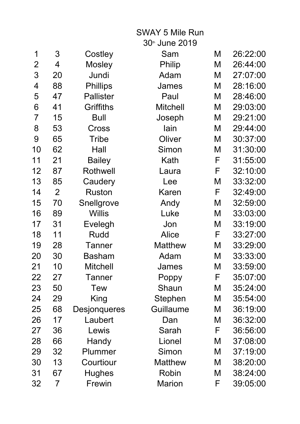|                |                |                     | <b>SWAY 5 Mile Run</b> |   |          |
|----------------|----------------|---------------------|------------------------|---|----------|
|                |                |                     | 30th June 2019         |   |          |
| 1              | 3              | Costley             | Sam                    | M | 26:22:00 |
| 2              | 4              | <b>Mosley</b>       | <b>Philip</b>          | M | 26:44:00 |
| 3              | 20             | Jundi               | Adam                   | M | 27:07:00 |
| 4              | 88             | <b>Phillips</b>     | James                  | M | 28:16:00 |
| 5              | 47             | <b>Pallister</b>    | Paul                   | M | 28:46:00 |
| 6              | 41             | <b>Griffiths</b>    | <b>Mitchell</b>        | M | 29:03:00 |
| $\overline{7}$ | 15             | <b>Bull</b>         | Joseph                 | M | 29:21:00 |
| 8              | 53             | Cross               | lain                   | M | 29:44:00 |
| 9              | 65             | <b>Tribe</b>        | Oliver                 | M | 30:37:00 |
| 10             | 62             | Hall                | Simon                  | M | 31:30:00 |
| 11             | 21             | <b>Bailey</b>       | Kath                   | F | 31:55:00 |
| 12             | 87             | <b>Rothwell</b>     | Laura                  | F | 32:10:00 |
| 13             | 85             | Caudery             | Lee                    | M | 33:32:00 |
| 14             | $\overline{2}$ | <b>Ruston</b>       | Karen                  | F | 32:49:00 |
| 15             | 70             | Snellgrove          | Andy                   | M | 32:59:00 |
| 16             | 89             | <b>Willis</b>       | Luke                   | M | 33:03:00 |
| 17             | 31             | Evelegh             | Jon                    | M | 33:19:00 |
| 18             | 11             | Rudd                | <b>Alice</b>           | F | 33:27:00 |
| 19             | 28             | Tanner              | <b>Matthew</b>         | M | 33:29:00 |
| 20             | 30             | Basham              | Adam                   | M | 33:33:00 |
| 21             | 10             | <b>Mitchell</b>     | James                  | M | 33:59:00 |
| 22             | 27             | Tanner              | Poppy                  | F | 35:07:00 |
| 23             | 50             | <b>Tew</b>          | Shaun                  | M | 35:24:00 |
| 24             | 29             | King                | Stephen                | M | 35:54:00 |
| 25             | 68             | <b>Desjonqueres</b> | Guillaume              | M | 36:19:00 |
| 26             | 17             | Laubert             | Dan                    | M | 36:32:00 |
| 27             | 36             | Lewis               | Sarah                  | F | 36:56:00 |
| 28             | 66             | Handy               | Lionel                 | M | 37:08:00 |
| 29             | 32             | Plummer             | Simon                  | M | 37:19:00 |
| 30             | 13             | Courtiour           | <b>Matthew</b>         | M | 38:20:00 |
| 31             | 67             | <b>Hughes</b>       | Robin                  | M | 38:24:00 |
| 32             | 7              | Frewin              | <b>Marion</b>          | F | 39:05:00 |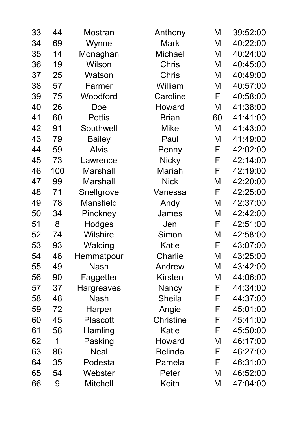| 33 | 44  | Mostran           | Anthony          | M  | 39:52:00 |
|----|-----|-------------------|------------------|----|----------|
| 34 | 69  | Wynne             | Mark             | M  | 40:22:00 |
| 35 | 14  | Monaghan          | <b>Michael</b>   | M  | 40:24:00 |
| 36 | 19  | Wilson            | <b>Chris</b>     | M  | 40:45:00 |
| 37 | 25  | Watson            | <b>Chris</b>     | M  | 40:49:00 |
| 38 | 57  | Farmer            | William          | M  | 40:57:00 |
| 39 | 75  | Woodford          | Caroline         | F  | 40:58:00 |
| 40 | 26  | Doe               | Howard           | M  | 41:38:00 |
| 41 | 60  | <b>Pettis</b>     | <b>Brian</b>     | 60 | 41:41:00 |
| 42 | 91  | Southwell         | <b>Mike</b>      | M  | 41:43:00 |
| 43 | 79  | <b>Bailey</b>     | Paul             | M  | 41:49:00 |
| 44 | 59  | <b>Alvis</b>      | Penny            | F  | 42:02:00 |
| 45 | 73  | Lawrence          | <b>Nicky</b>     | F  | 42:14:00 |
| 46 | 100 | <b>Marshall</b>   | <b>Mariah</b>    | F  | 42:19:00 |
| 47 | 99  | <b>Marshall</b>   | <b>Nick</b>      | M  | 42:20:00 |
| 48 | 71  | Snellgrove        | Vanessa          | F  | 42:25:00 |
| 49 | 78  | <b>Mansfield</b>  | Andy             | M  | 42:37:00 |
| 50 | 34  | Pinckney          | James            | M  | 42:42:00 |
| 51 | 8   | Hodges            | Jen              | F  | 42:51:00 |
| 52 | 74  | <b>Wilshire</b>   | Simon            | Μ  | 42:58:00 |
| 53 | 93  | Walding           | Katie            | F  | 43:07:00 |
| 54 | 46  | Hemmatpour        | Charlie          | M  | 43:25:00 |
| 55 | 49  | <b>Nash</b>       | Andrew           | M  | 43:42:00 |
| 56 | 90  | Faggetter         | <b>Kirsten</b>   | M  | 44:06:00 |
| 57 | 37  | <b>Hargreaves</b> | Nancy            | F  | 44:34:00 |
| 58 | 48  | <b>Nash</b>       | <b>Sheila</b>    | F  | 44:37:00 |
| 59 | 72  | Harper            | Angie            | F  | 45:01:00 |
| 60 | 45  | <b>Plascott</b>   | <b>Christine</b> | F  | 45:41:00 |
| 61 | 58  | Hamling           | Katie            | F  | 45:50:00 |
| 62 | 1   | Pasking           | Howard           | M  | 46:17:00 |
| 63 | 86  | <b>Neal</b>       | <b>Belinda</b>   | F  | 46:27:00 |
| 64 | 35  | Podesta           | Pamela           | F  | 46:31:00 |
| 65 | 54  | Webster           | Peter            | M  | 46:52:00 |
| 66 | 9   | <b>Mitchell</b>   | Keith            | M  | 47:04:00 |
|    |     |                   |                  |    |          |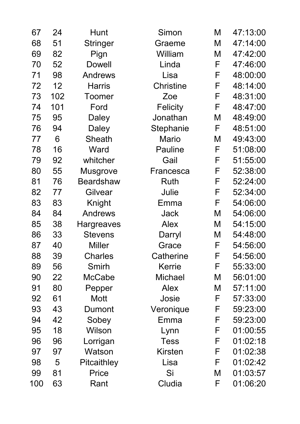| 67  | 24  | Hunt              | Simon            | M | 47:13:00 |
|-----|-----|-------------------|------------------|---|----------|
| 68  | 51  | <b>Stringer</b>   | Graeme           | M | 47:14:00 |
| 69  | 82  | Pign              | William          | M | 47:42:00 |
| 70  | 52  | <b>Dowell</b>     | Linda            | F | 47:46:00 |
| 71  | 98  | <b>Andrews</b>    | Lisa             | F | 48:00:00 |
| 72  | 12  | <b>Harris</b>     | <b>Christine</b> | F | 48:14:00 |
| 73  | 102 | <b>Toomer</b>     | Zoe              | F | 48:31:00 |
| 74  | 101 | Ford              | <b>Felicity</b>  | F | 48:47:00 |
| 75  | 95  | Daley             | Jonathan         | M | 48:49:00 |
| 76  | 94  | Daley             | Stephanie        | F | 48:51:00 |
| 77  | 6   | Sheath            | <b>Mario</b>     | M | 49:43:00 |
| 78  | 16  | Ward              | <b>Pauline</b>   | F | 51:08:00 |
| 79  | 92  | whitcher          | Gail             | F | 51:55:00 |
| 80  | 55  | <b>Musgrove</b>   | Francesca        | F | 52:38:00 |
| 81  | 76  | <b>Beardshaw</b>  | <b>Ruth</b>      | F | 52:24:00 |
| 82  | 77  | Gilvear           | Julie            | F | 52:34:00 |
| 83  | 83  | Knight            | Emma             | F | 54:06:00 |
| 84  | 84  | <b>Andrews</b>    | Jack             | M | 54:06:00 |
| 85  | 38  | <b>Hargreaves</b> | <b>Alex</b>      | M | 54:15:00 |
| 86  | 33  | <b>Stevens</b>    | Darryl           | M | 54:48:00 |
| 87  | 40  | <b>Miller</b>     | Grace            | F | 54:56:00 |
| 88  | 39  | <b>Charles</b>    | Catherine        | F | 54:56:00 |
| 89  | 56  | Smirh             | Kerrie           | F | 55:33:00 |
| 90  | 22  | McCabe            | <b>Michael</b>   | M | 56:01:00 |
| 91  | 80  | Pepper            | <b>Alex</b>      | M | 57:11:00 |
| 92  | 61  | Mott              | Josie            | F | 57:33:00 |
| 93  | 43  | Dumont            | Veronique        | F | 59:23:00 |
| 94  | 42  | Sobey             | Emma             | F | 59:23:00 |
| 95  | 18  | Wilson            | Lynn             | F | 01:00:55 |
| 96  | 96  | Lorrigan          | <b>Tess</b>      | F | 01:02:18 |
| 97  | 97  | Watson            | <b>Kirsten</b>   | F | 01:02:38 |
| 98  | 5   | Pitcaithley       | Lisa             | F | 01:02:42 |
| 99  | 81  | Price             | Si               | M | 01:03:57 |
| 100 | 63  | Rant              | Cludia           | F | 01:06:20 |